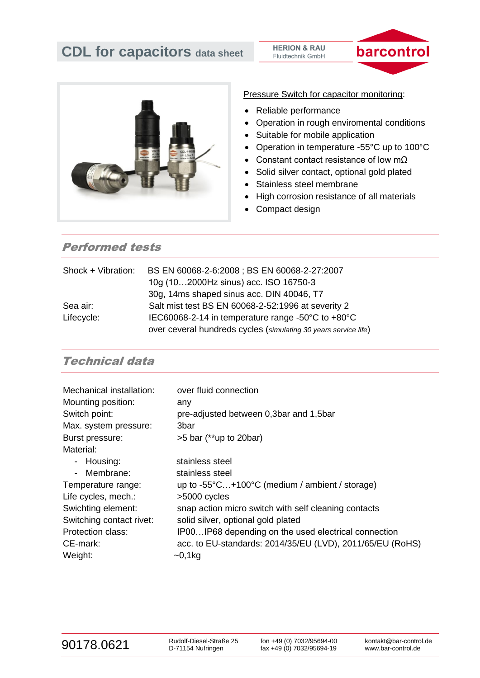

Pressure Switch for capacitor monitoring:

- Reliable performance
- Operation in rough enviromental conditions

barcontrol

- Suitable for mobile application
- Operation in temperature -55°C up to 100°C
- Constant contact resistance of low mΩ
- Solid silver contact, optional gold plated
- Stainless steel membrane
- High corrosion resistance of all materials
- Compact design

# Performed tests

| Shock + Vibration: | BS EN 60068-2-6:2008 ; BS EN 60068-2-27:2007                    |
|--------------------|-----------------------------------------------------------------|
|                    | 10g (102000Hz sinus) acc. ISO 16750-3                           |
|                    | 30g, 14ms shaped sinus acc. DIN 40046, T7                       |
| Sea air:           | Salt mist test BS EN 60068-2-52:1996 at severity 2              |
| Lifecycle:         | IEC60068-2-14 in temperature range -50°C to +80°C               |
|                    | over ceveral hundreds cycles (simulating 30 years service life) |

## Technical data

| Mechanical installation: | over fluid connection                                     |
|--------------------------|-----------------------------------------------------------|
| Mounting position:       | any                                                       |
| Switch point:            | pre-adjusted between 0,3bar and 1,5bar                    |
| Max. system pressure:    | 3bar                                                      |
| Burst pressure:          | $>5$ bar (**up to 20bar)                                  |
| Material:                |                                                           |
| - Housing:               | stainless steel                                           |
| - Membrane:              | stainless steel                                           |
| Temperature range:       | up to $-55^{\circ}$ C+100°C (medium / ambient / storage)  |
| Life cycles, mech.:      | >5000 cycles                                              |
| Swichting element:       | snap action micro switch with self cleaning contacts      |
| Switching contact rivet: | solid silver, optional gold plated                        |
| Protection class:        | IP00IP68 depending on the used electrical connection      |
| CE-mark:                 | acc. to EU-standards: 2014/35/EU (LVD), 2011/65/EU (RoHS) |
| Weight:                  | $-0,1kg$                                                  |